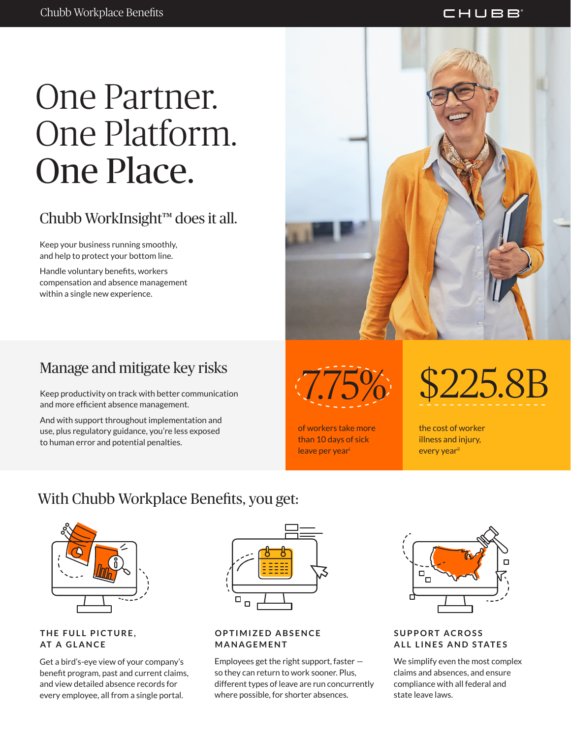## One Partner. One Platform. One Place.

### Chubb WorkInsight™ does it all.

Keep your business running smoothly, and help to protect your bottom line.

Handle voluntary benefits, workers compensation and absence management within a single new experience.

### Manage and mitigate key risks

Keep productivity on track with better communication and more efficient absence management.

And with support throughout implementation and use, plus regulatory guidance, you're less exposed to human error and potential penalties.



of workers take more than 10 days of sick leave per year<sup>i</sup>

7.75% \$225.8B

the cost of worker illness and injury, every yearii

### With Chubb Workplace Benefits, you get:



**THE FULL PICTURE, AT A GLANCE**

Get a bird's-eye view of your company's benefit program, past and current claims, and view detailed absence records for every employee, all from a single portal.



#### **OPTIMIZED ABSENCE MANAGEMENT**

Employees get the right support, faster so they can return to work sooner. Plus, different types of leave are run concurrently where possible, for shorter absences.



**SUPPORT ACROSS ALL LINES AND STATES**

We simplify even the most complex claims and absences, and ensure compliance with all federal and state leave laws.